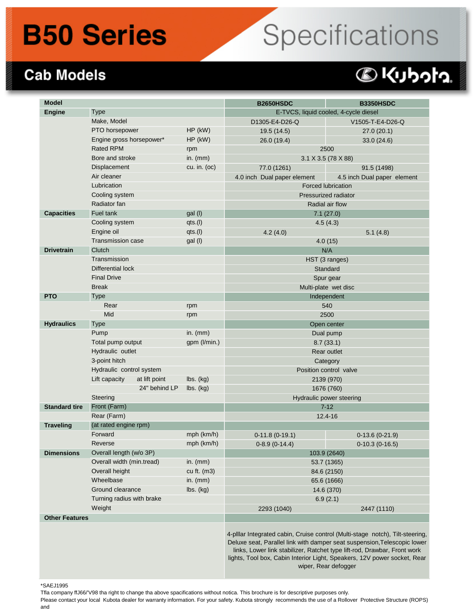## **B50 Series**

# Specifications

#### **Cab Models**

### @kubota.

| <b>Model</b>         |                                                                              |               |                              | <b>B2650HSDC</b>            | <b>B3350HSDC</b>                                                                                                                                                                                                                                                                                                                          |  |
|----------------------|------------------------------------------------------------------------------|---------------|------------------------------|-----------------------------|-------------------------------------------------------------------------------------------------------------------------------------------------------------------------------------------------------------------------------------------------------------------------------------------------------------------------------------------|--|
| <b>Engine</b>        | <b>Type</b>                                                                  |               |                              |                             | E-TVCS, liquid cooled, 4-cycle diesel                                                                                                                                                                                                                                                                                                     |  |
|                      | Make, Model                                                                  |               |                              | D1305-E4-D26-Q              | V1505-T-E4-D26-Q                                                                                                                                                                                                                                                                                                                          |  |
|                      | PTO horsepower                                                               |               | HP (kW)                      | 19.5 (14.5)                 | 27.0 (20.1)                                                                                                                                                                                                                                                                                                                               |  |
|                      | Engine gross horsepower*                                                     |               | HP (kW)                      | 26.0 (19.4)                 | 33.0 (24.6)                                                                                                                                                                                                                                                                                                                               |  |
|                      | <b>Rated RPM</b>                                                             |               | rpm                          | 2500                        |                                                                                                                                                                                                                                                                                                                                           |  |
|                      | Bore and stroke                                                              |               | in. $(mm)$                   | 3.1 X 3.5 (78 X 88)         |                                                                                                                                                                                                                                                                                                                                           |  |
|                      | Displacement                                                                 |               | cu. in. (oc)                 | 77.0 (1261)                 | 91.5 (1498)                                                                                                                                                                                                                                                                                                                               |  |
|                      | Air cleaner                                                                  |               |                              | 4.0 inch Dual paper element | 4.5 inch Dual paper element                                                                                                                                                                                                                                                                                                               |  |
|                      | Lubrication                                                                  |               |                              | <b>Forced lubrication</b>   |                                                                                                                                                                                                                                                                                                                                           |  |
|                      | Cooling system                                                               |               |                              | Pressurized radiator        |                                                                                                                                                                                                                                                                                                                                           |  |
|                      | Radiator fan                                                                 |               |                              | Radial air flow             |                                                                                                                                                                                                                                                                                                                                           |  |
| <b>Capacities</b>    | Fuel tank                                                                    |               | gal (I)                      | 7.1(27.0)                   |                                                                                                                                                                                                                                                                                                                                           |  |
|                      | Cooling system                                                               |               | qts.(I)                      | 4.5(4.3)                    |                                                                                                                                                                                                                                                                                                                                           |  |
|                      | Engine oil                                                                   |               | qts.(I)                      | 4.2(4.0)<br>5.1(4.8)        |                                                                                                                                                                                                                                                                                                                                           |  |
|                      | <b>Transmission case</b>                                                     |               | gal (I)                      | 4.0(15)                     |                                                                                                                                                                                                                                                                                                                                           |  |
| <b>Drivetrain</b>    | Clutch                                                                       |               |                              | N/A                         |                                                                                                                                                                                                                                                                                                                                           |  |
|                      | Transmission                                                                 |               |                              | HST (3 ranges)              |                                                                                                                                                                                                                                                                                                                                           |  |
|                      | Differential lock                                                            |               |                              | Standard                    |                                                                                                                                                                                                                                                                                                                                           |  |
|                      | <b>Final Drive</b>                                                           |               |                              |                             | Spur gear                                                                                                                                                                                                                                                                                                                                 |  |
|                      | <b>Break</b>                                                                 |               |                              | Multi-plate wet disc        |                                                                                                                                                                                                                                                                                                                                           |  |
| <b>PTO</b>           | <b>Type</b>                                                                  |               |                              | Independent                 |                                                                                                                                                                                                                                                                                                                                           |  |
|                      | Rear                                                                         |               | rpm                          | 540                         |                                                                                                                                                                                                                                                                                                                                           |  |
|                      | Mid                                                                          |               | rpm                          | 2500                        |                                                                                                                                                                                                                                                                                                                                           |  |
| <b>Hydraulics</b>    | <b>Type</b>                                                                  |               |                              | Open center                 |                                                                                                                                                                                                                                                                                                                                           |  |
|                      | Pump<br>Total pump output<br>Hydraulic outlet                                |               | in. $(mm)$                   | Dual pump                   |                                                                                                                                                                                                                                                                                                                                           |  |
|                      |                                                                              |               | gpm (I/min.)                 | 8.7(33.1)                   |                                                                                                                                                                                                                                                                                                                                           |  |
|                      |                                                                              |               |                              | <b>Rear outlet</b>          |                                                                                                                                                                                                                                                                                                                                           |  |
|                      | 3-point hitch                                                                |               |                              | Category                    |                                                                                                                                                                                                                                                                                                                                           |  |
|                      | Hydraulic control system                                                     |               |                              | Position control valve      |                                                                                                                                                                                                                                                                                                                                           |  |
|                      | Lift capacity                                                                | at lift point | lbs. (kg)                    | 2139 (970)                  |                                                                                                                                                                                                                                                                                                                                           |  |
|                      | 24" behind LP                                                                |               | lbs. (kg)                    | 1676 (760)                  |                                                                                                                                                                                                                                                                                                                                           |  |
|                      | Steering                                                                     |               |                              | Hydraulic power steering    |                                                                                                                                                                                                                                                                                                                                           |  |
| <b>Standard tire</b> | Front (Farm)                                                                 |               |                              | $7 - 12$                    |                                                                                                                                                                                                                                                                                                                                           |  |
|                      | Rear (Farm)                                                                  |               |                              |                             | 12.4-16                                                                                                                                                                                                                                                                                                                                   |  |
| <b>Traveling</b>     | (at rated engine rpm)                                                        |               |                              |                             |                                                                                                                                                                                                                                                                                                                                           |  |
|                      | Forward                                                                      |               | mph (km/h)                   | $0-11.8(0-19.1)$            | $0-13.6(0-21.9)$                                                                                                                                                                                                                                                                                                                          |  |
|                      | Reverse                                                                      |               | mph (km/h)                   | $0-8.9(0-14.4)$             | $0-10.3(0-16.5)$                                                                                                                                                                                                                                                                                                                          |  |
| <b>Dimensions</b>    | Overall length (w/o 3P)                                                      |               |                              | 103.9 (2640)                |                                                                                                                                                                                                                                                                                                                                           |  |
|                      | Overall width (min.tread)<br>Overall height<br>Wheelbase<br>Ground clearance |               | in. $(mm)$                   | 53.7 (1365)                 |                                                                                                                                                                                                                                                                                                                                           |  |
|                      |                                                                              |               | cu ft. (m3)                  | 84.6 (2150)                 |                                                                                                                                                                                                                                                                                                                                           |  |
|                      |                                                                              |               | in. $(mm)$                   | 65.6 (1666)                 |                                                                                                                                                                                                                                                                                                                                           |  |
|                      |                                                                              |               | $\mathsf{lbs.}\mathsf{(kg)}$ | 14.6 (370)                  |                                                                                                                                                                                                                                                                                                                                           |  |
|                      | Turning radius with brake                                                    |               |                              |                             | 6.9(2.1)                                                                                                                                                                                                                                                                                                                                  |  |
| Weight               |                                                                              |               | 2293 (1040)                  | 2447 (1110)                 |                                                                                                                                                                                                                                                                                                                                           |  |
|                      | <b>Other Features</b>                                                        |               |                              |                             |                                                                                                                                                                                                                                                                                                                                           |  |
|                      |                                                                              |               |                              |                             | 4-pillar Integrated cabin, Cruise control (Multi-stage notch), Tilt-steering,<br>Deluxe seat, Parallel link with damper seat suspension, Telescopic lower<br>links, Lower link stabilizer, Ratchet type lift-rod, Drawbar, Front work<br>lights, Tool box, Cabin Interior Light, Speakers, 12V power socket, Rear<br>wiper, Rear defogger |  |

\*SAEJ1995

Please contact your local Kubota dealer for warranty information. For your safety. Kubota strongly recommends the use of a Rollover Protective Structure (ROPS) and

Tfla company ffJ66/'V98 tha right to change tha above spacifications without notica. This brochure is for descriptive purposes only.